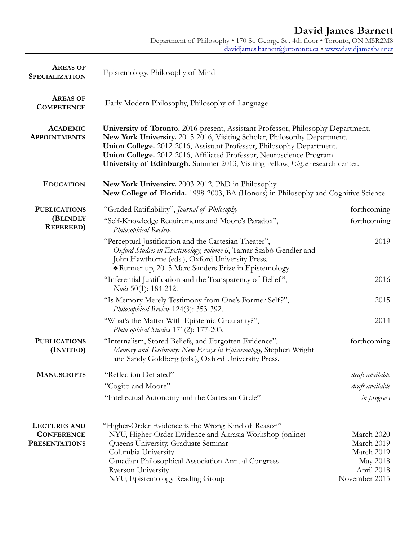### **David James Barnett**

Department of Philosophy • 170 St. George St., 4th floor • Toronto, ON M5R2M8 [davidjames.barnett@utoronto.ca](mailto:davidjames.barnett@utoronto.ca) • [www.davidjamesbar.net](http://davidjamesbar.net)

| <b>AREAS OF</b><br><b>SPECIALIZATION</b>                         | Epistemology, Philosophy of Mind                                                                                                                                                                                                                                                                                                                                                                |                                                                                   |  |
|------------------------------------------------------------------|-------------------------------------------------------------------------------------------------------------------------------------------------------------------------------------------------------------------------------------------------------------------------------------------------------------------------------------------------------------------------------------------------|-----------------------------------------------------------------------------------|--|
| <b>AREAS OF</b><br><b>COMPETENCE</b>                             | Early Modern Philosophy, Philosophy of Language                                                                                                                                                                                                                                                                                                                                                 |                                                                                   |  |
| <b>ACADEMIC</b><br><b>APPOINTMENTS</b>                           | University of Toronto. 2016-present, Assistant Professor, Philosophy Department.<br>New York University. 2015-2016, Visiting Scholar, Philosophy Department.<br>Union College. 2012-2016, Assistant Professor, Philosophy Department.<br>Union College. 2012-2016, Affiliated Professor, Neuroscience Program.<br>University of Edinburgh. Summer 2013, Visiting Fellow, Eidyn research center. |                                                                                   |  |
| <b>EDUCATION</b>                                                 | New York University. 2003-2012, PhD in Philosophy<br>New College of Florida. 1998-2003, BA (Honors) in Philosophy and Cognitive Science                                                                                                                                                                                                                                                         |                                                                                   |  |
| <b>PUBLICATIONS</b><br>(BLINDLY<br><b>REFEREED</b> )             | "Graded Ratifiability", Journal of Philosophy                                                                                                                                                                                                                                                                                                                                                   | forthcoming                                                                       |  |
|                                                                  | "Self-Knowledge Requirements and Moore's Paradox",<br>Philosophical Review.                                                                                                                                                                                                                                                                                                                     | forthcoming                                                                       |  |
|                                                                  | "Perceptual Justification and the Cartesian Theater",<br>Oxford Studies in Epistemology, volume 6, Tamar Szabó Gendler and<br>John Hawthorne (eds.), Oxford University Press.<br>* Runner-up, 2015 Marc Sanders Prize in Epistemology                                                                                                                                                           | 2019                                                                              |  |
|                                                                  | "Inferential Justification and the Transparency of Belief",<br>Nous 50(1): 184-212.                                                                                                                                                                                                                                                                                                             | 2016                                                                              |  |
|                                                                  | "Is Memory Merely Testimony from One's Former Self?",<br>Philosophical Review 124(3): 353-392.                                                                                                                                                                                                                                                                                                  | 2015                                                                              |  |
|                                                                  | "What's the Matter With Epistemic Circularity?",<br>Philosophical Studies 171(2): 177-205.                                                                                                                                                                                                                                                                                                      | 2014                                                                              |  |
| <b>PUBLICATIONS</b><br>(INVITED)                                 | "Internalism, Stored Beliefs, and Forgotten Evidence",<br>Memory and Testimony: New Essays in Epistemology, Stephen Wright<br>and Sandy Goldberg (eds.), Oxford University Press.                                                                                                                                                                                                               | forthcoming                                                                       |  |
| <b>MANUSCRIPTS</b>                                               | "Reflection Deflated"                                                                                                                                                                                                                                                                                                                                                                           | draft available                                                                   |  |
|                                                                  | "Cogito and Moore"                                                                                                                                                                                                                                                                                                                                                                              | draft available                                                                   |  |
|                                                                  | "Intellectual Autonomy and the Cartesian Circle"                                                                                                                                                                                                                                                                                                                                                | in progress                                                                       |  |
| <b>LECTURES AND</b><br><b>CONFERENCE</b><br><b>PRESENTATIONS</b> | "Higher-Order Evidence is the Wrong Kind of Reason"<br>NYU, Higher-Order Evidence and Akrasia Workshop (online)<br>Queens University, Graduate Seminar<br>Columbia University<br>Canadian Philosophical Association Annual Congress<br><b>Ryerson University</b><br>NYU, Epistemology Reading Group                                                                                             | March 2020<br>March 2019<br>March 2019<br>May 2018<br>April 2018<br>November 2015 |  |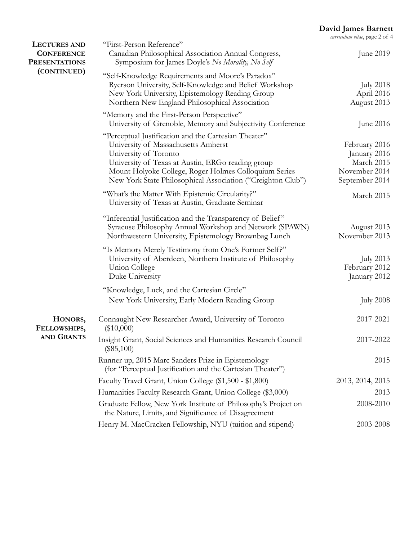#### **David James Barnett**

*curriculum vitae*, page 2 of 4

| <b>LECTURES AND</b><br><b>CONFERENCE</b><br><b>PRESENTATIONS</b><br>(CONTINUED) | "First-Person Reference"<br>Canadian Philosophical Association Annual Congress,<br>Symposium for James Doyle's No Morality, No Self                                                                                                                                                               | June 2019                                                                      |
|---------------------------------------------------------------------------------|---------------------------------------------------------------------------------------------------------------------------------------------------------------------------------------------------------------------------------------------------------------------------------------------------|--------------------------------------------------------------------------------|
|                                                                                 | "Self-Knowledge Requirements and Moore's Paradox"<br>Ryerson University, Self-Knowledge and Belief Workshop<br>New York University, Epistemology Reading Group<br>Northern New England Philosophical Association                                                                                  | <b>July 2018</b><br>April 2016<br>August 2013                                  |
|                                                                                 | "Memory and the First-Person Perspective"<br>University of Grenoble, Memory and Subjectivity Conference                                                                                                                                                                                           | June 2016                                                                      |
|                                                                                 | "Perceptual Justification and the Cartesian Theater"<br>University of Massachusetts Amherst<br>University of Toronto<br>University of Texas at Austin, ERGo reading group<br>Mount Holyoke College, Roger Holmes Colloquium Series<br>New York State Philosophical Association ("Creighton Club") | February 2016<br>January 2016<br>March 2015<br>November 2014<br>September 2014 |
|                                                                                 | "What's the Matter With Epistemic Circularity?"<br>University of Texas at Austin, Graduate Seminar                                                                                                                                                                                                | March 2015                                                                     |
|                                                                                 | "Inferential Justification and the Transparency of Belief"<br>Syracuse Philosophy Annual Workshop and Network (SPAWN)<br>Northwestern University, Epistemology Brownbag Lunch                                                                                                                     | August 2013<br>November 2013                                                   |
|                                                                                 | "Is Memory Merely Testimony from One's Former Self?"<br>University of Aberdeen, Northern Institute of Philosophy<br>Union College<br>Duke University                                                                                                                                              | July 2013<br>February 2012<br>January 2012                                     |
|                                                                                 | "Knowledge, Luck, and the Cartesian Circle"                                                                                                                                                                                                                                                       |                                                                                |
|                                                                                 | New York University, Early Modern Reading Group                                                                                                                                                                                                                                                   | <b>July 2008</b>                                                               |
| HONORS,<br>FELLOWSHIPS,<br><b>AND GRANTS</b>                                    | Connaught New Researcher Award, University of Toronto<br>$(\$10,000)$                                                                                                                                                                                                                             | 2017-2021                                                                      |
|                                                                                 | Insight Grant, Social Sciences and Humanities Research Council<br>$(\$85,100)$                                                                                                                                                                                                                    | 2017-2022                                                                      |
|                                                                                 | Runner-up, 2015 Marc Sanders Prize in Epistemology<br>(for "Perceptual Justification and the Cartesian Theater")                                                                                                                                                                                  | 2015                                                                           |
|                                                                                 | Faculty Travel Grant, Union College (\$1,500 - \$1,800)                                                                                                                                                                                                                                           | 2013, 2014, 2015                                                               |
|                                                                                 | Humanities Faculty Research Grant, Union College (\$3,000)                                                                                                                                                                                                                                        | 2013                                                                           |
|                                                                                 | Graduate Fellow, New York Institute of Philosophy's Project on<br>the Nature, Limits, and Significance of Disagreement                                                                                                                                                                            | 2008-2010                                                                      |
|                                                                                 | Henry M. MacCracken Fellowship, NYU (tuition and stipend)                                                                                                                                                                                                                                         | 2003-2008                                                                      |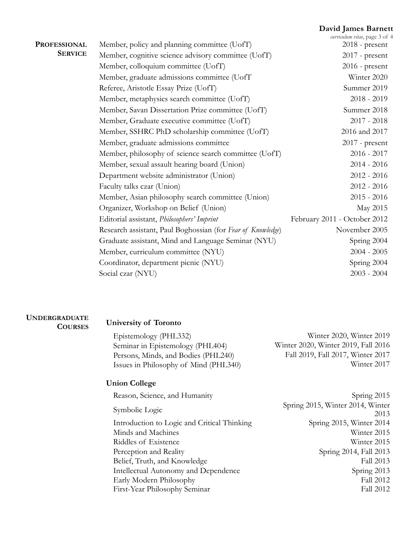### **David James Barnett**

| <b>PROFESSIONAL</b> | Member, policy and planning committee (UofT)                | curriculum vitae, page 3 of 4<br>$2018$ - present |
|---------------------|-------------------------------------------------------------|---------------------------------------------------|
| <b>SERVICE</b>      | Member, cognitive science advisory committee (UofT)         | $2017$ - present                                  |
|                     | Member, colloquium committee (UofT)                         | $2016$ - present                                  |
|                     | Member, graduate admissions committee (UofT                 | Winter 2020                                       |
|                     | Referee, Aristotle Essay Prize (UofT)                       | Summer 2019                                       |
|                     | Member, metaphysics search committee (UofT)                 | $2018 - 2019$                                     |
|                     | Member, Savan Dissertation Prize committee (UofT)           | Summer 2018                                       |
|                     | Member, Graduate executive committee (UofT)                 | $2017 - 2018$                                     |
|                     | Member, SSHRC PhD scholarship committee (UofT)              | 2016 and 2017                                     |
|                     | Member, graduate admissions committee                       | $2017$ - present                                  |
|                     | Member, philosophy of science search committee (UofT)       | $2016 - 2017$                                     |
|                     | Member, sexual assault hearing board (Union)                | $2014 - 2016$                                     |
|                     | Department website administrator (Union)                    | $2012 - 2016$                                     |
|                     | Faculty talks czar (Union)                                  | $2012 - 2016$                                     |
|                     | Member, Asian philosophy search committee (Union)           | $2015 - 2016$                                     |
|                     | Organizer, Workshop on Belief (Union)                       | May 2015                                          |
|                     | Editorial assistant, Philosophers' Imprint                  | February 2011 - October 2012                      |
|                     | Research assistant, Paul Boghossian (for Fear of Knowledge) | November 2005                                     |
|                     | Graduate assistant, Mind and Language Seminar (NYU)         | Spring 2004                                       |
|                     | Member, curriculum committee (NYU)                          | $2004 - 2005$                                     |
|                     | Coordinator, department picnic (NYU)                        | Spring 2004                                       |
|                     | Social czar (NYU)                                           | $2003 - 2004$                                     |
|                     |                                                             |                                                   |

## **UNDERGRADUATE**

# **University of Toronto**<br>Epistemology (PHL33

| Winter 2020, Winter 2019            |
|-------------------------------------|
| Winter 2020, Winter 2019, Fall 2016 |
| Fall 2019, Fall 2017, Winter 2017   |
| Winter 2017                         |
|                                     |

### **Union College**

| Reason, Science, and Humanity               | Spring 2015                      |
|---------------------------------------------|----------------------------------|
|                                             | Spring 2015, Winter 2014, Winter |
| Symbolic Logic                              | 2013                             |
| Introduction to Logic and Critical Thinking | Spring 2015, Winter 2014         |
| Minds and Machines                          | Winter 2015                      |
| Riddles of Existence                        | Winter 2015                      |
| Perception and Reality                      | Spring 2014, Fall 2013           |
| Belief, Truth, and Knowledge                | Fall 2013                        |
| Intellectual Autonomy and Dependence        | Spring 2013                      |
| Early Modern Philosophy                     | Fall 2012                        |
| First-Year Philosophy Seminar               | Fall 2012                        |
|                                             |                                  |